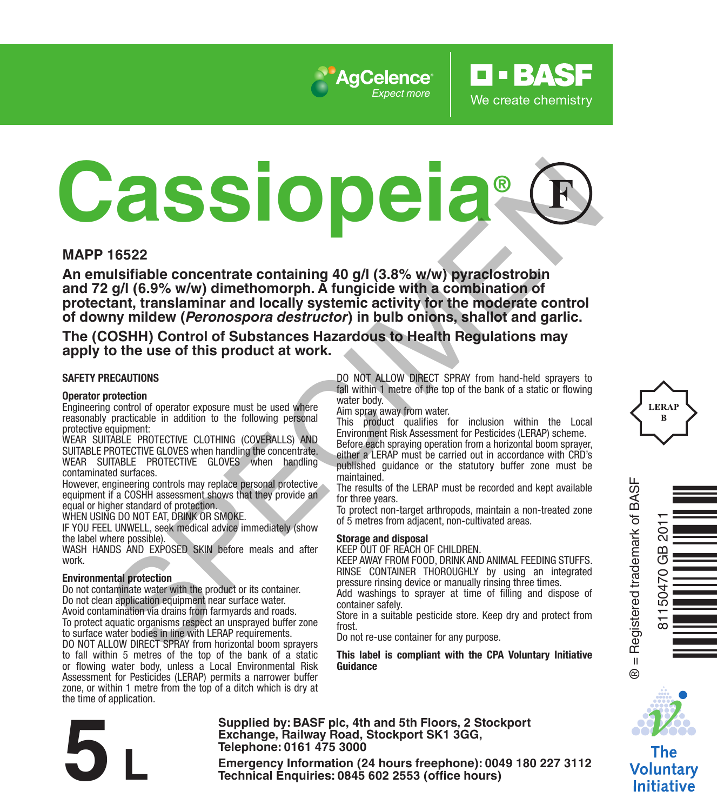

# **CASSION CONSULTER CONTROL** CONSULTER CONTROL CONSULTER CONSULTER CONSULTER CONSULTER CONSULTER CONSULTER CONSULTER CONSULTER CONSULTER CONSULTER CONSULTER CONSULTER CONSULTER CONSULTER CONSULTER CONSULTER CONSULTER CONSUL

### **MAPP 16522**

**An emulsifiable concentrate containing 40 g/l (3.8% w/w) pyraclostrobin and 72 g/l (6.9% w/w) dimethomorph. A fungicide with a combination of protectant, translaminar and locally systemic activity for the moderate control of downy mildew (***Peronospora destructor***) in bulb onions, shallot and garlic.**

**The (COSHH) Control of Substances Hazardous to Health Regulations may apply to the use of this product at work.**

### **SAFETY PRECAUTIONS**

### **Operator protection**

Engineering control of operator exposure must be used where reasonably practicable in addition to the following personal protective equipment:

WEAR SUITABLE PROTECTIVE CLOTHING (COVERALLS) AND SUITABLE PROTECTIVE GLOVES when handling the concentrate. WEAR SUITABLE PROTECTIVE GLOVES when handling contaminated surfaces.

However, engineering controls may replace personal protective equipment if a COSHH assessment shows that they provide an equal or higher standard of protection.

WHEN USING DO NOT EAT, DRINK OR SMOKE.

IF YOU FEEL UNWELL, seek medical advice immediately (show the label where possible).

WASH HANDS AND EXPOSED SKIN before meals and after work.

### **Environmental protection**

Do not contaminate water with the product or its container. Do not clean application equipment near surface water. Avoid contamination via drains from farmyards and roads. To protect aquatic organisms respect an unsprayed buffer zone to surface water bodies in line with LERAP requirements. DO NOT ALLOW DIRECT SPRAY from horizontal boom sprayers to fall within 5 metres of the top of the bank of a static or flowing water body, unless a Local Environmental Risk Assessment for Pesticides (LERAP) permits a narrower buffer zone, or within 1 metre from the top of a ditch which is dry at the time of application.

DO NOT ALLOW DIRECT SPRAY from hand-held sprayers to fall within 1 metre of the top of the bank of a static or flowing water body.

**RASE** 

We create chemistry

Aim spray away from water.

This product qualifies for inclusion within the Local Environment Risk Assessment for Pesticides (LERAP) scheme.

Before each spraying operation from a horizontal boom sprayer, either a LERAP must be carried out in accordance with CRD's published guidance or the statutory buffer zone must be maintained.

The results of the LERAP must be recorded and kept available for three years.

To protect non-target arthropods, maintain a non-treated zone of 5 metres from adjacent, non-cultivated areas.

### **Storage and disposal**

KEEP OUT OF REACH OF CHILDREN.

KEEP AWAY FROM FOOD, DRINK AND ANIMAL FEEDING STUFFS. RINSE CONTAINER THOROUGHLY by using an integrated pressure rinsing device or manually rinsing three times.

Add washings to sprayer at time of filling and dispose of container safely.

Store in a suitable pesticide store. Keep dry and protect from frost.

Do not re-use container for any purpose.

**This label is compliant with the CPA Voluntary Initiative Guidance**



Ò<br>Kongressionen

® = Registered trademark of BASF

 $\ddot{\circ}$ 

81150470 GB 2011

مبر<br>س  $\overline{a}$  $-504$ 

The **Voluntary Initiative** 

**Supplied by: BASF plc, 4th and 5th Floors, 2 Stockport Exchange, Railway Road, Stockport SK1 3GG, Telephone: 0161 475 3000** Exchange, Rallway Road, Stockport SK1 3GG,<br>
Telephone: 0161 475 3000<br>
Emergency Information (24 hours freephone): 0049 180 227 3112<br>
Technical Enquiries: 0845 602 2553 (office hours)

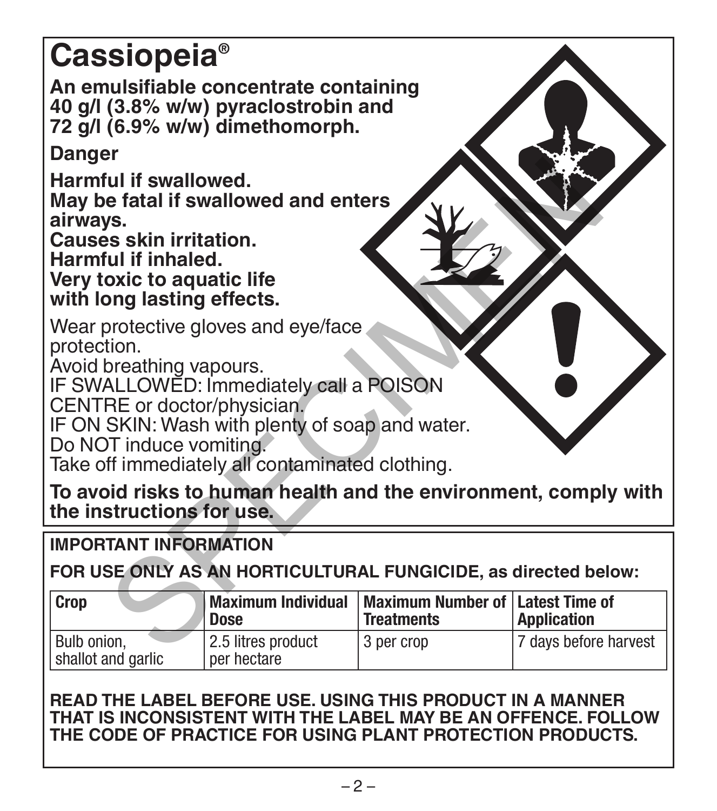# **Cassiopeia®**

**An emulsifiable concentrate containing 40 g/l (3.8% w/w) pyraclostrobin and 72 g/l (6.9% w/w) dimethomorph.**

**Danger**

# **IMPORTANT INFORMATION**

| Harmful if swallowed.<br>May be fatal if swallowed and enters<br>airways.<br><b>Causes skin irritation.</b><br>Harmful if inhaled.<br>Very toxic to aquatic life<br>with long lasting effects.                                                                                            |                                   |                                                         |                       |
|-------------------------------------------------------------------------------------------------------------------------------------------------------------------------------------------------------------------------------------------------------------------------------------------|-----------------------------------|---------------------------------------------------------|-----------------------|
| Wear protective gloves and eye/face<br>protection.<br>Avoid breathing vapours.<br>IF SWALLOWED: Immediately call a POISON<br>CENTRE or doctor/physician.<br>IF ON SKIN: Wash with plenty of soap and water.<br>Do NOT induce vomiting.<br>Take off immediately all contaminated clothing. |                                   |                                                         |                       |
| To avoid risks to human health and the environment, comply with<br>the instructions for use.                                                                                                                                                                                              |                                   |                                                         |                       |
| <b>IMPORTANT INFORMATION</b>                                                                                                                                                                                                                                                              |                                   |                                                         |                       |
| FOR USE ONLY AS AN HORTICULTURAL FUNGICIDE, as directed below:                                                                                                                                                                                                                            |                                   |                                                         |                       |
| Crop                                                                                                                                                                                                                                                                                      | <b>Maximum Individual</b><br>Dose | Maximum Number of   Latest Time of<br><b>Treatments</b> | <b>Application</b>    |
| Bulb onion,<br>shallot and garlic                                                                                                                                                                                                                                                         | 2.5 litres product<br>per hectare | 3 per crop                                              | 7 days before harvest |

# **READ THE LABEL BEFORE USE. USING THIS PRODUCT IN A MANNER THAT IS INCONSISTENT WITH THE LABEL MAY BE AN OFFENCE. FOLLOW THE CODE OF PRACTICE FOR USING PLANT PROTECTION PRODUCTS.**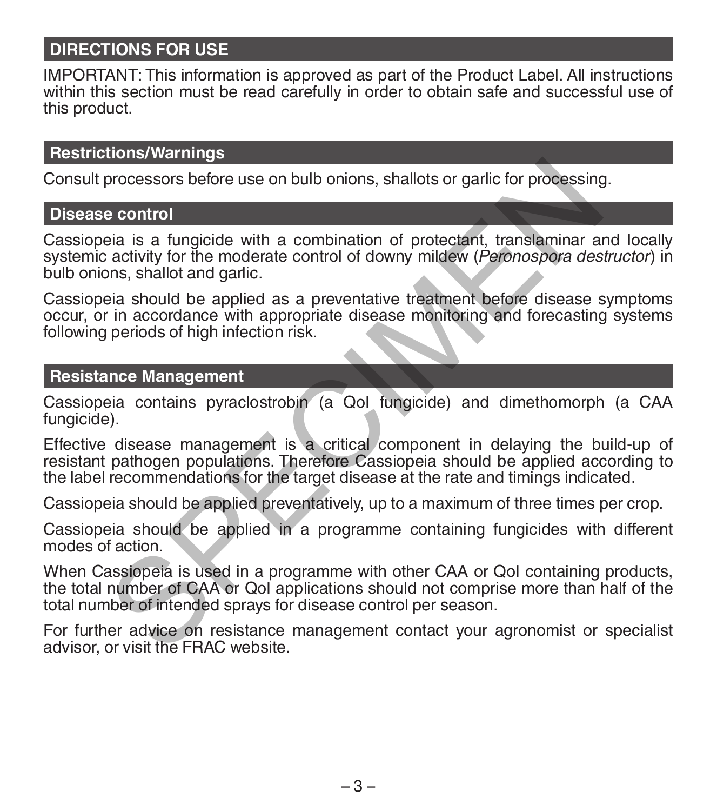# **DIRECTIONS FOR USE**

IMPORTANT: This information is approved as part of the Product Label. All instructions within this section must be read carefully in order to obtain safe and successful use of this product.

# **Restrictions/Warnings**

Consult processors before use on bulb onions, shallots or garlic for processing.

# **Disease control**

Cassiopeia is a fungicide with a combination of protectant, translaminar and locally systemic activity for the moderate control of downy mildew (*Peronospora destructor*) in bulb onions, shallot and garlic. processors before use on bulb onions, shallots or garlic for processing<br>
e control<br>
e control<br>
a is a fungicide with a combination of protectant, translaminar as<br>
activity for the moderate control of downy mildew (*Peronos* 

Cassiopeia should be applied as a preventative treatment before disease symptoms occur, or in accordance with appropriate disease monitoring and forecasting systems following periods of high infection risk.

### **Resistance Management**

Cassiopeia contains pyraclostrobin (a QoI fungicide) and dimethomorph (a CAA fungicide).

Effective disease management is a critical component in delaying the build-up of resistant pathogen populations. Therefore Cassiopeia should be applied according to the label recommendations for the target disease at the rate and timings indicated.

Cassiopeia should be applied preventatively, up to a maximum of three times per crop.

Cassiopeia should be applied in a programme containing fungicides with different modes of action.

When Cassiopeia is used in a programme with other CAA or QoI containing products, the total number of CAA or QoI applications should not comprise more than half of the total number of intended sprays for disease control per season.

For further advice on resistance management contact your agronomist or specialist advisor, or visit the FRAC website.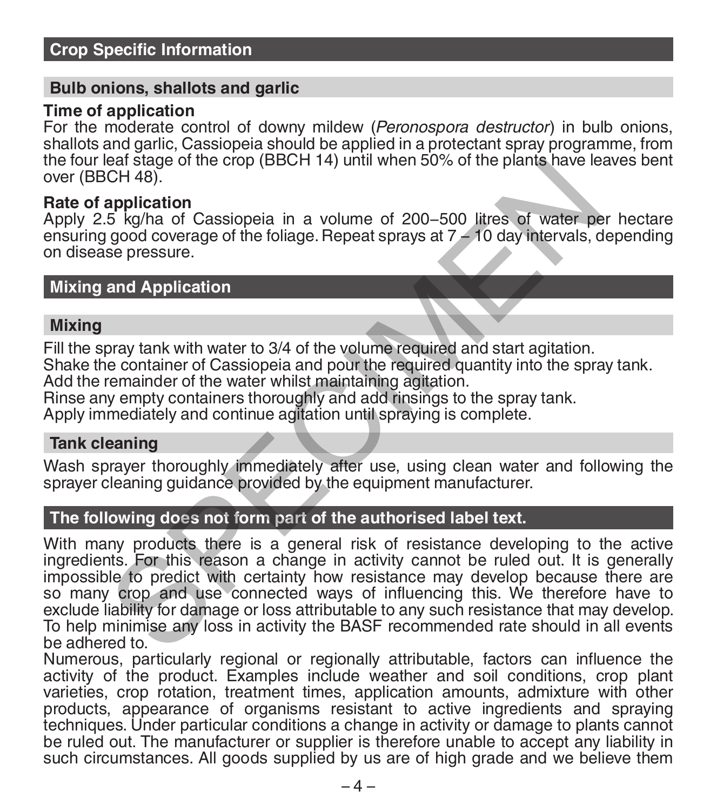### **Bulb onions, shallots and garlic**

### **Time of application**

For the moderate control of downy mildew (*Peronospora destructor*) in bulb onions, shallots and garlic, Cassiopeia should be applied in a protectant spray programme, from the four leaf stage of the crop (BBCH 14) until when 50% of the plants have leaves bent over (BBCH 48).

### **Rate of application**

Apply 2.5 kg/ha of Cassiopeia in a volume of 200−500 litres of water per hectare ensuring good coverage of the foliage. Repeat sprays at 7 − 10 day intervals, depending on disease pressure.

## **Mixing and Application**

### **Mixing**

Fill the spray tank with water to 3/4 of the volume required and start agitation.

Shake the container of Cassiopeia and pour the required quantity into the spray tank. Add the remainder of the water whilst maintaining agitation.

Rinse any empty containers thoroughly and add rinsings to the spray tank.

Apply immediately and continue agitation until spraying is complete.

### **Tank cleaning**

Wash sprayer thoroughly immediately after use, using clean water and following the sprayer cleaning quidance provided by the equipment manufacturer.

# **The following does not form part of the authorised label text.**

With many products there is a general risk of resistance developing to the active ingredients. For this reason a change in activity cannot be ruled out. It is generally impossible to predict with certainty how resistance may develop because there are so many crop and use connected ways of influencing this. We therefore have to exclude liability for damage or loss attributable to any such resistance that may develop. To help minimise any loss in activity the BASF recommended rate should in all events be adhered to. ear stage of the crop (BBCH 14) until when 50% of the plants have te<br>
CH 48).<br> **application**<br>
5 kg/ha of Cassiopeia in a volume of 200–500 litres of water pe<br>
good coverage of the foliage. Repeat sprays at 7 – 10 day inter

Numerous, particularly regional or regionally attributable, factors can influence the activity of the product. Examples include weather and soil conditions, crop plant varieties, crop rotation, treatment times, application amounts, admixture with other products, appearance of organisms resistant to active ingredients and spraying techniques. Under particular conditions a change in activity or damage to plants cannot be ruled out. The manufacturer or supplier is therefore unable to accept any liability in such circumstances. All goods supplied by us are of high grade and we believe them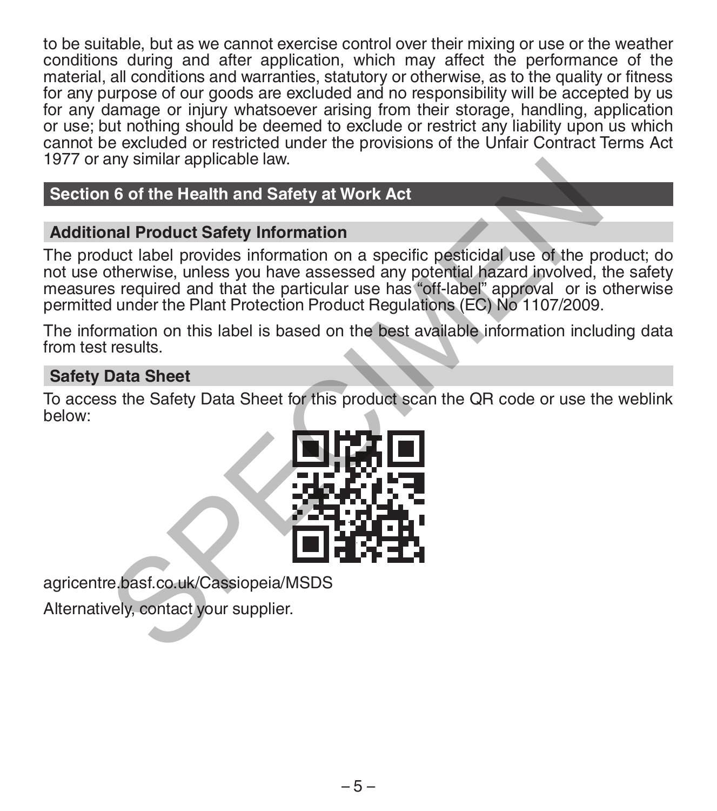to be suitable, but as we cannot exercise control over their mixing or use or the weather conditions during and after application, which may affect the performance of the material, all conditions and warranties, statutory or otherwise, as to the quality or fitness for any purpose of our goods are excluded and no responsibility will be accepted by us for any damage or injury whatsoever arising from their storage, handling, application or use; but nothing should be deemed to exclude or restrict any liability upon us which cannot be excluded or restricted under the provisions of the Unfair Contract Terms Act 1977 or any similar applicable law.

# **Section 6 of the Health and Safety at Work Act**

# **Additional Product Safety Information**

The product label provides information on a specific pesticidal use of the product; do not use otherwise, unless you have assessed any potential hazard involved, the safety measures required and that the particular use has "off-label" approval or is otherwise permitted under the Plant Protection Product Regulations (EC) No 1107/2009. The Structure of the Health and Safety at Work Act<br>
and Product Safety Information<br>
duct label provides information on a specific pesticidal use of the protherwise, unless you have assessed any potential hazard involved,<br>

The information on this label is based on the best available information including data from test results.

# **Safety Data Sheet**

To access the Safety Data Sheet for this product scan the QR code or use the weblink below:



agricentre.basf.co.uk/Cassiopeia/MSDS

Alternatively, contact your supplier.